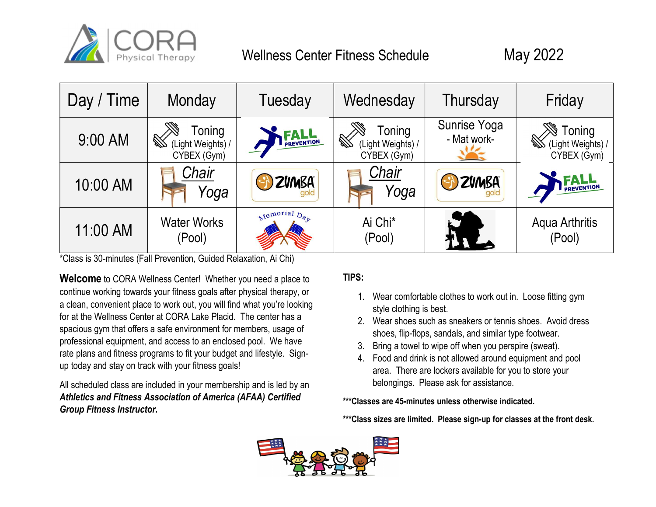

# Wellness Center Fitness Schedule May 2022



\*Class is 30-minutes (Fall Prevention, Guided Relaxation, Ai Chi)

Welcome to CORA Wellness Center! Whether you need a place to continue working towards your fitness goals after physical therapy, or a clean, convenient place to work out, you will find what you're looking for at the Wellness Center at CORA Lake Placid. The center has a spacious gym that offers a safe environment for members, usage of professional equipment, and access to an enclosed pool. We have rate plans and fitness programs to fit your budget and lifestyle. Signup today and stay on track with your fitness goals!

All scheduled class are included in your membership and is led by an Athletics and Fitness Association of America (AFAA) Certified Group Fitness Instructor.

## TIPS:

- 1. Wear comfortable clothes to work out in. Loose fitting gym style clothing is best.
- 2. Wear shoes such as sneakers or tennis shoes. Avoid dress shoes, flip-flops, sandals, and similar type footwear.
- 3. Bring a towel to wipe off when you perspire (sweat).
- 4. Food and drink is not allowed around equipment and pool area. There are lockers available for you to store your belongings. Please ask for assistance.

#### \*\*\*Classes are 45-minutes unless otherwise indicated.

\*\*\*Class sizes are limited. Please sign-up for classes at the front desk.